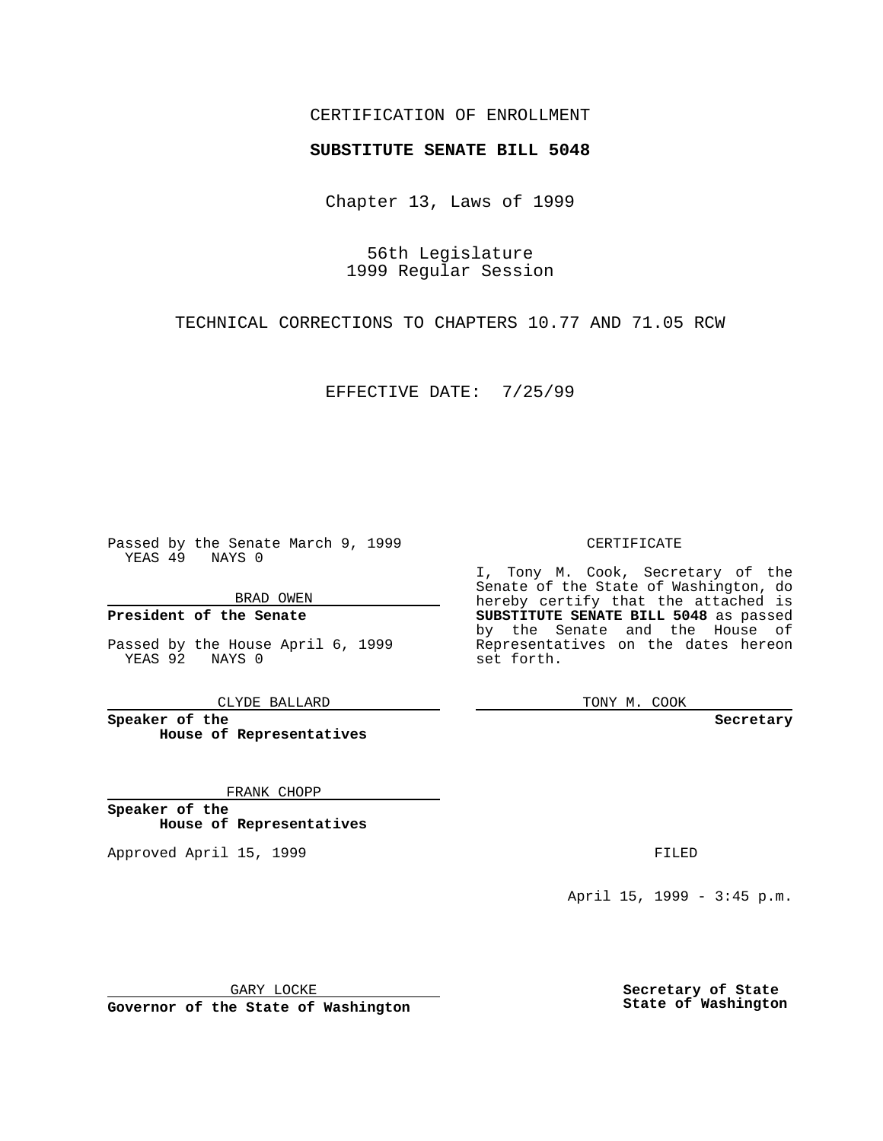### CERTIFICATION OF ENROLLMENT

# **SUBSTITUTE SENATE BILL 5048**

Chapter 13, Laws of 1999

56th Legislature 1999 Regular Session

TECHNICAL CORRECTIONS TO CHAPTERS 10.77 AND 71.05 RCW

EFFECTIVE DATE: 7/25/99

Passed by the Senate March 9, 1999 YEAS 49 NAYS 0

BRAD OWEN

**President of the Senate**

Passed by the House April 6, 1999 YEAS 92 NAYS 0

CLYDE BALLARD

**Speaker of the House of Representatives**

FRANK CHOPP

**Speaker of the House of Representatives**

Approved April 15, 1999 **FILED** 

### CERTIFICATE

I, Tony M. Cook, Secretary of the Senate of the State of Washington, do hereby certify that the attached is **SUBSTITUTE SENATE BILL 5048** as passed by the Senate and the House of Representatives on the dates hereon set forth.

TONY M. COOK

**Secretary**

April 15, 1999 - 3:45 p.m.

GARY LOCKE

**Governor of the State of Washington**

**Secretary of State State of Washington**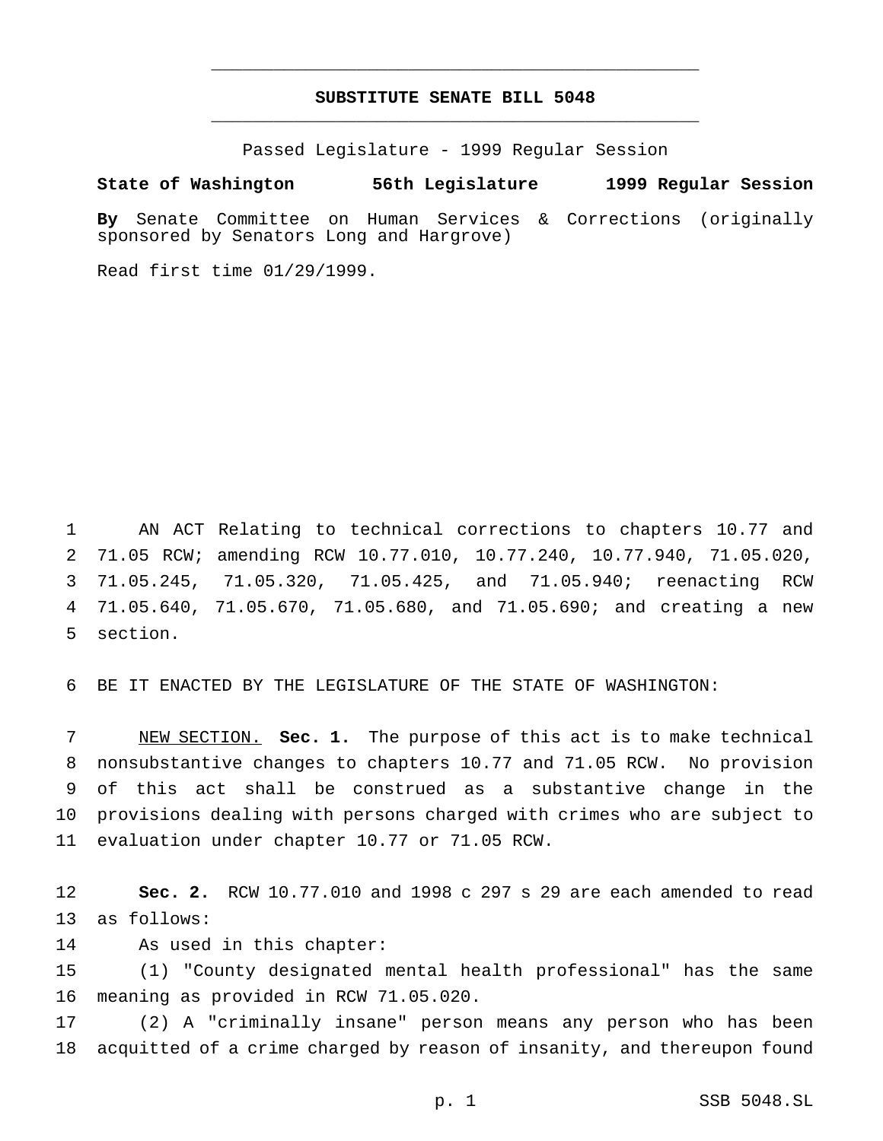## **SUBSTITUTE SENATE BILL 5048** \_\_\_\_\_\_\_\_\_\_\_\_\_\_\_\_\_\_\_\_\_\_\_\_\_\_\_\_\_\_\_\_\_\_\_\_\_\_\_\_\_\_\_\_\_\_\_

\_\_\_\_\_\_\_\_\_\_\_\_\_\_\_\_\_\_\_\_\_\_\_\_\_\_\_\_\_\_\_\_\_\_\_\_\_\_\_\_\_\_\_\_\_\_\_

Passed Legislature - 1999 Regular Session

#### **State of Washington 56th Legislature 1999 Regular Session**

**By** Senate Committee on Human Services & Corrections (originally sponsored by Senators Long and Hargrove)

Read first time 01/29/1999.

 AN ACT Relating to technical corrections to chapters 10.77 and 71.05 RCW; amending RCW 10.77.010, 10.77.240, 10.77.940, 71.05.020, 71.05.245, 71.05.320, 71.05.425, and 71.05.940; reenacting RCW 71.05.640, 71.05.670, 71.05.680, and 71.05.690; and creating a new section.

BE IT ENACTED BY THE LEGISLATURE OF THE STATE OF WASHINGTON:

 NEW SECTION. **Sec. 1.** The purpose of this act is to make technical nonsubstantive changes to chapters 10.77 and 71.05 RCW. No provision of this act shall be construed as a substantive change in the provisions dealing with persons charged with crimes who are subject to evaluation under chapter 10.77 or 71.05 RCW.

 **Sec. 2.** RCW 10.77.010 and 1998 c 297 s 29 are each amended to read as follows:

As used in this chapter:

 (1) "County designated mental health professional" has the same meaning as provided in RCW 71.05.020.

 (2) A "criminally insane" person means any person who has been acquitted of a crime charged by reason of insanity, and thereupon found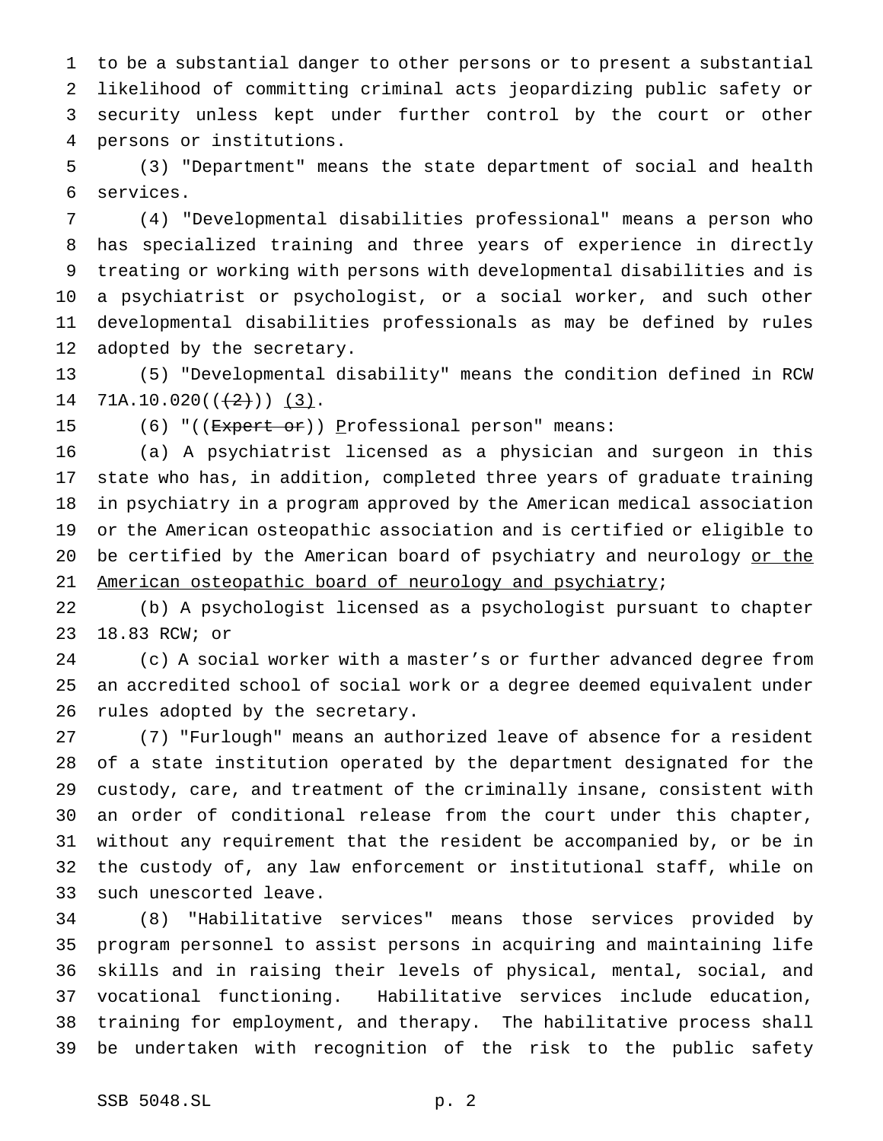to be a substantial danger to other persons or to present a substantial likelihood of committing criminal acts jeopardizing public safety or security unless kept under further control by the court or other persons or institutions.

 (3) "Department" means the state department of social and health services.

 (4) "Developmental disabilities professional" means a person who has specialized training and three years of experience in directly treating or working with persons with developmental disabilities and is a psychiatrist or psychologist, or a social worker, and such other developmental disabilities professionals as may be defined by rules adopted by the secretary.

 (5) "Developmental disability" means the condition defined in RCW 14 71A.10.020( $(\frac{2}{2})$ ) (3).

15 (6) "((Expert or)) Professional person" means:

 (a) A psychiatrist licensed as a physician and surgeon in this state who has, in addition, completed three years of graduate training in psychiatry in a program approved by the American medical association or the American osteopathic association and is certified or eligible to 20 be certified by the American board of psychiatry and neurology or the American osteopathic board of neurology and psychiatry;

 (b) A psychologist licensed as a psychologist pursuant to chapter 18.83 RCW; or

 (c) A social worker with a master's or further advanced degree from an accredited school of social work or a degree deemed equivalent under rules adopted by the secretary.

 (7) "Furlough" means an authorized leave of absence for a resident of a state institution operated by the department designated for the custody, care, and treatment of the criminally insane, consistent with an order of conditional release from the court under this chapter, without any requirement that the resident be accompanied by, or be in the custody of, any law enforcement or institutional staff, while on such unescorted leave.

 (8) "Habilitative services" means those services provided by program personnel to assist persons in acquiring and maintaining life skills and in raising their levels of physical, mental, social, and vocational functioning. Habilitative services include education, training for employment, and therapy. The habilitative process shall be undertaken with recognition of the risk to the public safety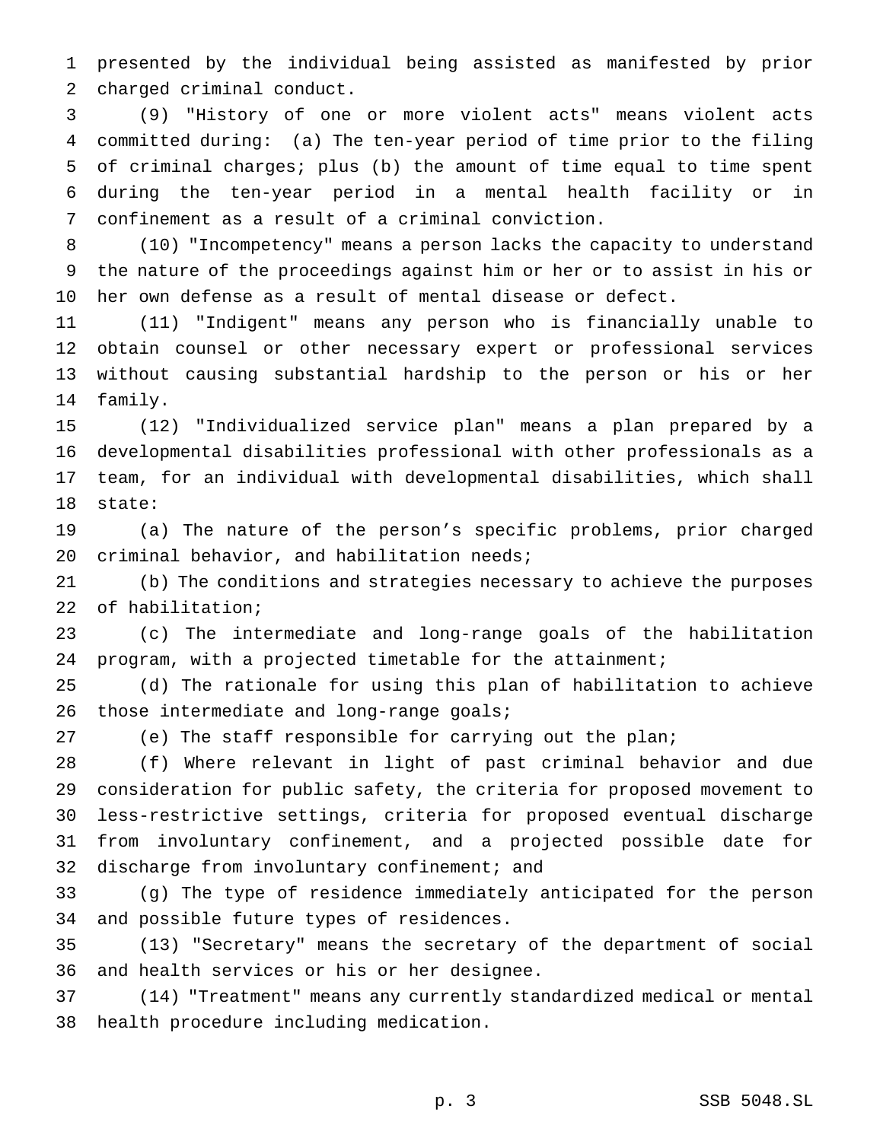presented by the individual being assisted as manifested by prior charged criminal conduct.

 (9) "History of one or more violent acts" means violent acts committed during: (a) The ten-year period of time prior to the filing of criminal charges; plus (b) the amount of time equal to time spent during the ten-year period in a mental health facility or in confinement as a result of a criminal conviction.

 (10) "Incompetency" means a person lacks the capacity to understand the nature of the proceedings against him or her or to assist in his or her own defense as a result of mental disease or defect.

 (11) "Indigent" means any person who is financially unable to obtain counsel or other necessary expert or professional services without causing substantial hardship to the person or his or her family.

 (12) "Individualized service plan" means a plan prepared by a developmental disabilities professional with other professionals as a team, for an individual with developmental disabilities, which shall state:

 (a) The nature of the person's specific problems, prior charged criminal behavior, and habilitation needs;

 (b) The conditions and strategies necessary to achieve the purposes of habilitation;

 (c) The intermediate and long-range goals of the habilitation program, with a projected timetable for the attainment;

 (d) The rationale for using this plan of habilitation to achieve 26 those intermediate and long-range goals;

(e) The staff responsible for carrying out the plan;

 (f) Where relevant in light of past criminal behavior and due consideration for public safety, the criteria for proposed movement to less-restrictive settings, criteria for proposed eventual discharge from involuntary confinement, and a projected possible date for discharge from involuntary confinement; and

 (g) The type of residence immediately anticipated for the person and possible future types of residences.

 (13) "Secretary" means the secretary of the department of social and health services or his or her designee.

 (14) "Treatment" means any currently standardized medical or mental health procedure including medication.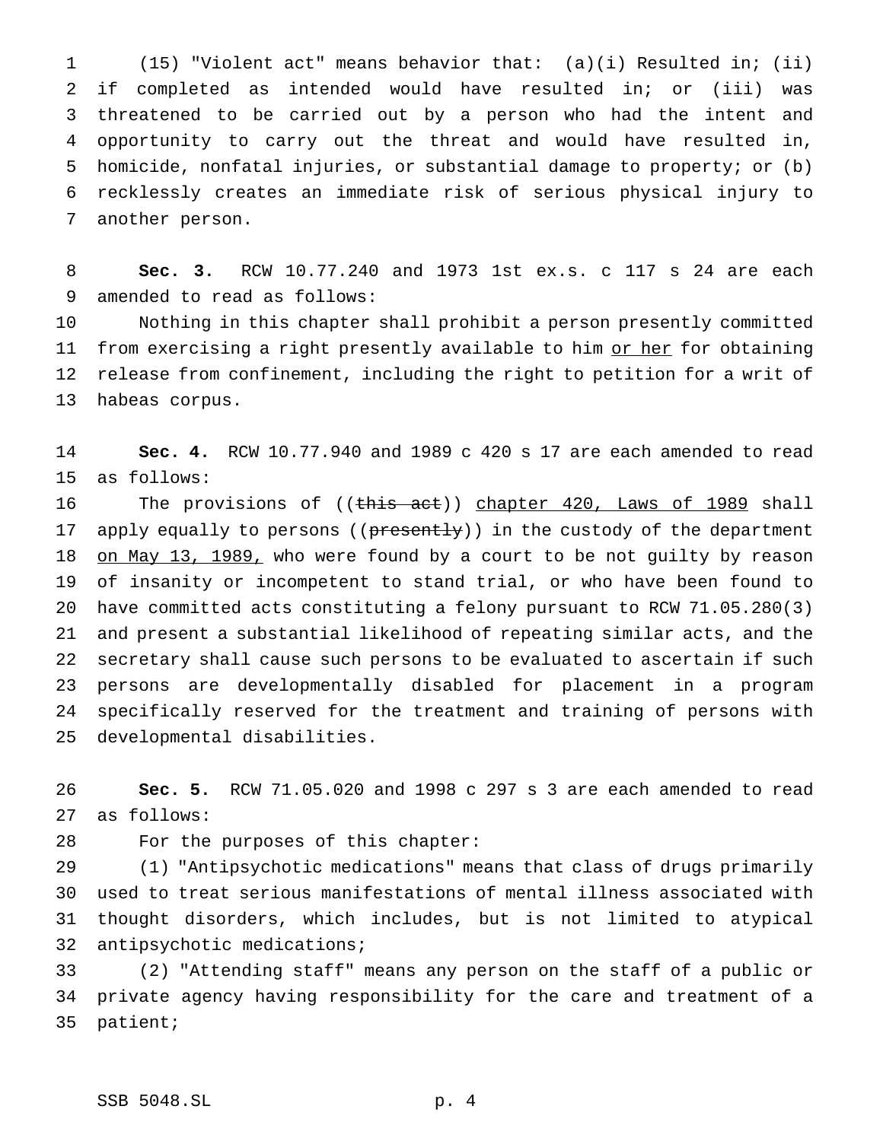(15) "Violent act" means behavior that: (a)(i) Resulted in; (ii) if completed as intended would have resulted in; or (iii) was threatened to be carried out by a person who had the intent and opportunity to carry out the threat and would have resulted in, homicide, nonfatal injuries, or substantial damage to property; or (b) recklessly creates an immediate risk of serious physical injury to another person.

 **Sec. 3.** RCW 10.77.240 and 1973 1st ex.s. c 117 s 24 are each amended to read as follows:

 Nothing in this chapter shall prohibit a person presently committed 11 from exercising a right presently available to him or her for obtaining release from confinement, including the right to petition for a writ of habeas corpus.

 **Sec. 4.** RCW 10.77.940 and 1989 c 420 s 17 are each amended to read as follows:

16 The provisions of ((this act)) chapter 420, Laws of 1989 shall 17 apply equally to persons ((presently)) in the custody of the department 18 on May 13, 1989, who were found by a court to be not guilty by reason of insanity or incompetent to stand trial, or who have been found to have committed acts constituting a felony pursuant to RCW 71.05.280(3) and present a substantial likelihood of repeating similar acts, and the secretary shall cause such persons to be evaluated to ascertain if such persons are developmentally disabled for placement in a program specifically reserved for the treatment and training of persons with developmental disabilities.

 **Sec. 5.** RCW 71.05.020 and 1998 c 297 s 3 are each amended to read as follows:

For the purposes of this chapter:

 (1) "Antipsychotic medications" means that class of drugs primarily used to treat serious manifestations of mental illness associated with thought disorders, which includes, but is not limited to atypical antipsychotic medications;

 (2) "Attending staff" means any person on the staff of a public or private agency having responsibility for the care and treatment of a patient;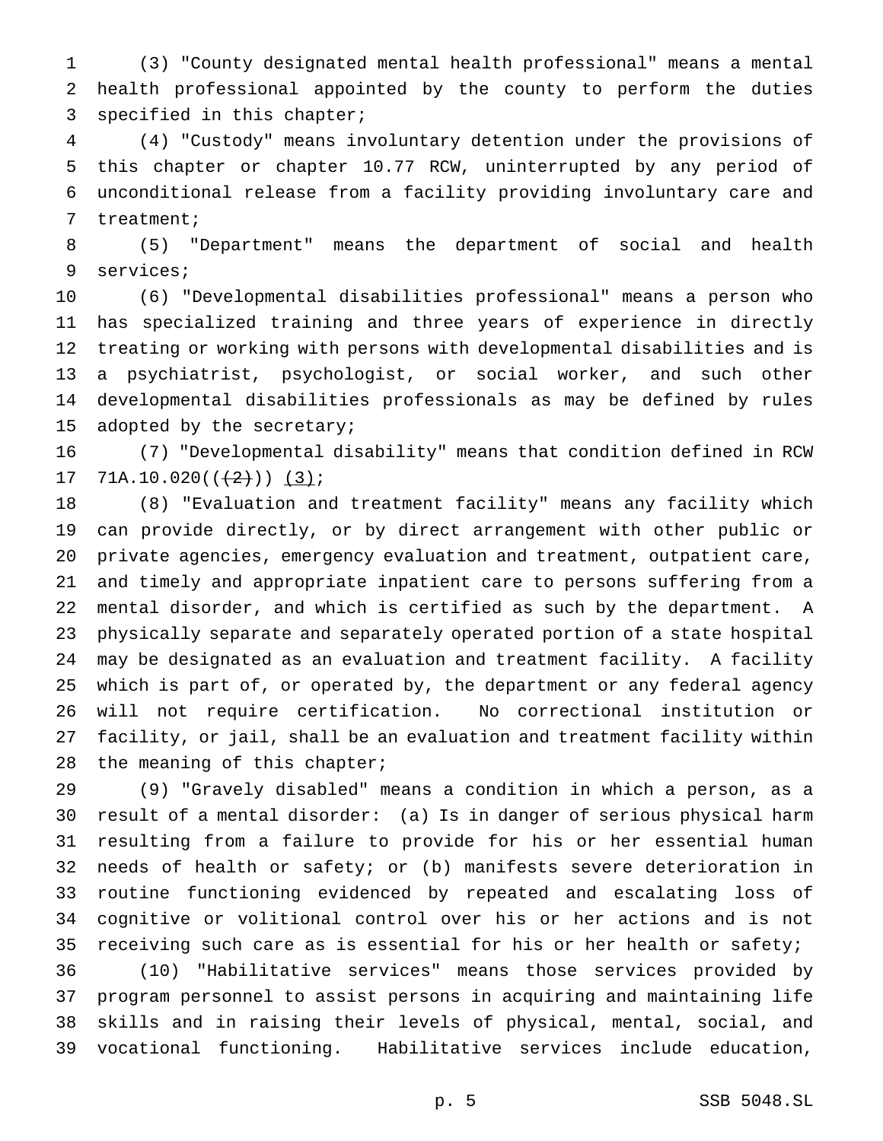(3) "County designated mental health professional" means a mental health professional appointed by the county to perform the duties specified in this chapter;

 (4) "Custody" means involuntary detention under the provisions of this chapter or chapter 10.77 RCW, uninterrupted by any period of unconditional release from a facility providing involuntary care and treatment;

 (5) "Department" means the department of social and health services;

 (6) "Developmental disabilities professional" means a person who has specialized training and three years of experience in directly treating or working with persons with developmental disabilities and is a psychiatrist, psychologist, or social worker, and such other developmental disabilities professionals as may be defined by rules adopted by the secretary;

 (7) "Developmental disability" means that condition defined in RCW 17 71A.10.020( $(\frac{2}{3})$ ) (3);

 (8) "Evaluation and treatment facility" means any facility which can provide directly, or by direct arrangement with other public or private agencies, emergency evaluation and treatment, outpatient care, and timely and appropriate inpatient care to persons suffering from a mental disorder, and which is certified as such by the department. A physically separate and separately operated portion of a state hospital may be designated as an evaluation and treatment facility. A facility which is part of, or operated by, the department or any federal agency will not require certification. No correctional institution or facility, or jail, shall be an evaluation and treatment facility within 28 the meaning of this chapter;

 (9) "Gravely disabled" means a condition in which a person, as a result of a mental disorder: (a) Is in danger of serious physical harm resulting from a failure to provide for his or her essential human needs of health or safety; or (b) manifests severe deterioration in routine functioning evidenced by repeated and escalating loss of cognitive or volitional control over his or her actions and is not receiving such care as is essential for his or her health or safety;

 (10) "Habilitative services" means those services provided by program personnel to assist persons in acquiring and maintaining life skills and in raising their levels of physical, mental, social, and vocational functioning. Habilitative services include education,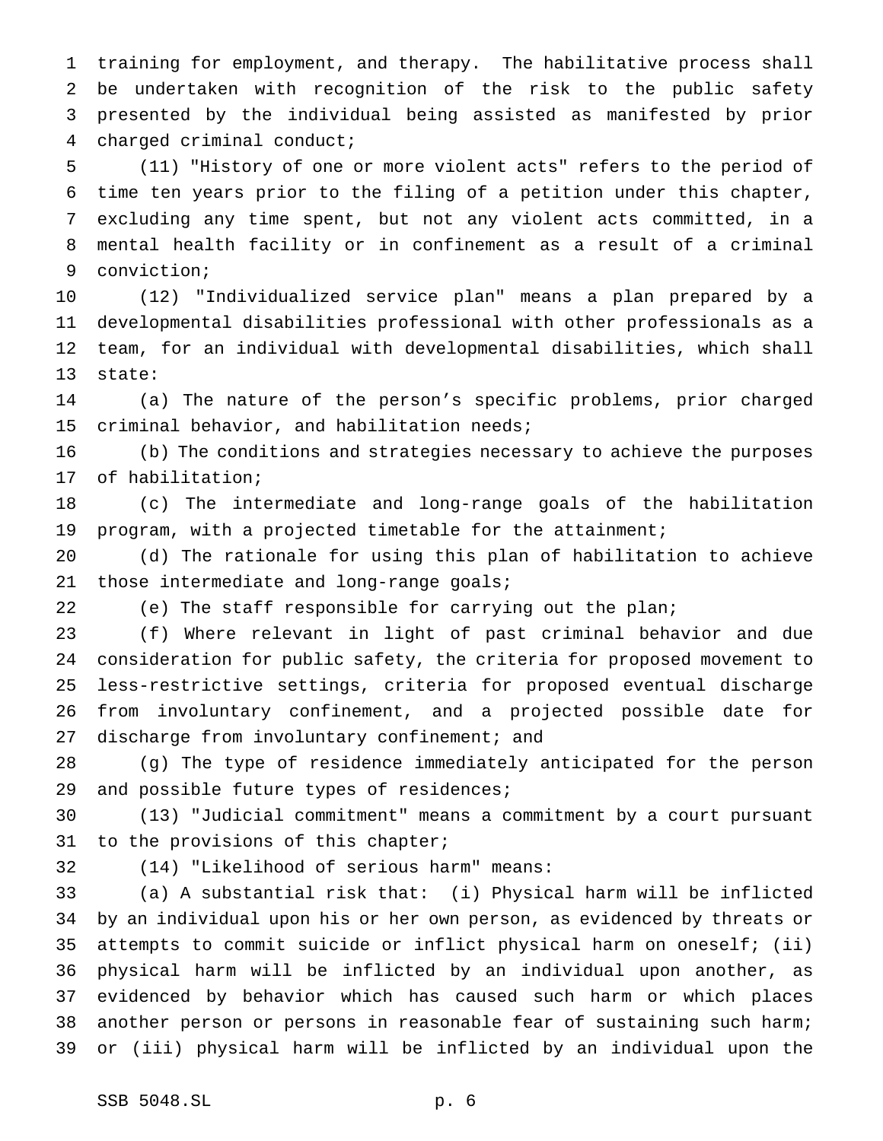training for employment, and therapy. The habilitative process shall be undertaken with recognition of the risk to the public safety presented by the individual being assisted as manifested by prior charged criminal conduct;

 (11) "History of one or more violent acts" refers to the period of time ten years prior to the filing of a petition under this chapter, excluding any time spent, but not any violent acts committed, in a mental health facility or in confinement as a result of a criminal conviction;

 (12) "Individualized service plan" means a plan prepared by a developmental disabilities professional with other professionals as a team, for an individual with developmental disabilities, which shall state:

 (a) The nature of the person's specific problems, prior charged criminal behavior, and habilitation needs;

 (b) The conditions and strategies necessary to achieve the purposes of habilitation;

 (c) The intermediate and long-range goals of the habilitation program, with a projected timetable for the attainment;

 (d) The rationale for using this plan of habilitation to achieve 21 those intermediate and long-range goals;

(e) The staff responsible for carrying out the plan;

 (f) Where relevant in light of past criminal behavior and due consideration for public safety, the criteria for proposed movement to less-restrictive settings, criteria for proposed eventual discharge from involuntary confinement, and a projected possible date for 27 discharge from involuntary confinement; and

 (g) The type of residence immediately anticipated for the person 29 and possible future types of residences;

 (13) "Judicial commitment" means a commitment by a court pursuant to the provisions of this chapter;

(14) "Likelihood of serious harm" means:

 (a) A substantial risk that: (i) Physical harm will be inflicted by an individual upon his or her own person, as evidenced by threats or attempts to commit suicide or inflict physical harm on oneself; (ii) physical harm will be inflicted by an individual upon another, as evidenced by behavior which has caused such harm or which places another person or persons in reasonable fear of sustaining such harm; or (iii) physical harm will be inflicted by an individual upon the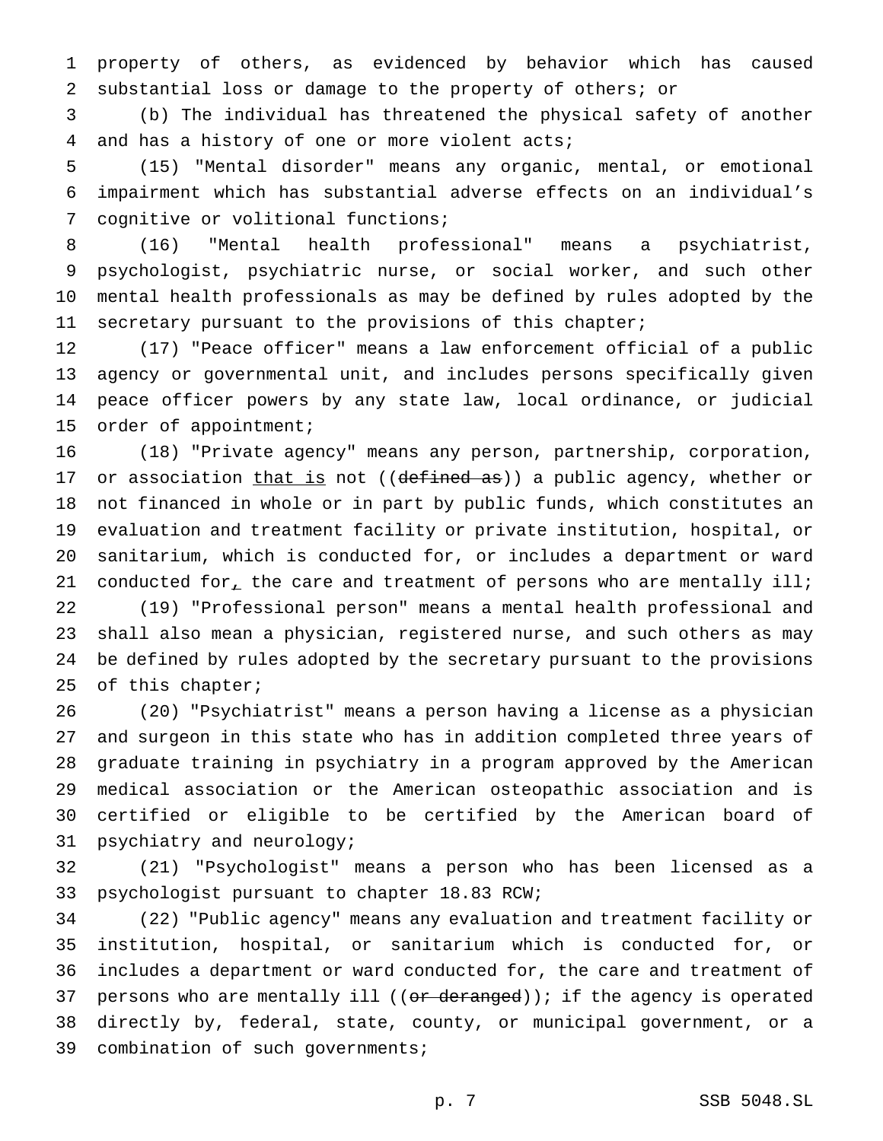property of others, as evidenced by behavior which has caused substantial loss or damage to the property of others; or

 (b) The individual has threatened the physical safety of another and has a history of one or more violent acts;

 (15) "Mental disorder" means any organic, mental, or emotional impairment which has substantial adverse effects on an individual's cognitive or volitional functions;

 (16) "Mental health professional" means a psychiatrist, psychologist, psychiatric nurse, or social worker, and such other mental health professionals as may be defined by rules adopted by the secretary pursuant to the provisions of this chapter;

 (17) "Peace officer" means a law enforcement official of a public agency or governmental unit, and includes persons specifically given peace officer powers by any state law, local ordinance, or judicial order of appointment;

 (18) "Private agency" means any person, partnership, corporation, 17 or association that is not ((defined as)) a public agency, whether or not financed in whole or in part by public funds, which constitutes an evaluation and treatment facility or private institution, hospital, or sanitarium, which is conducted for, or includes a department or ward 21 conducted for<sub> $L$ </sub> the care and treatment of persons who are mentally ill;

 (19) "Professional person" means a mental health professional and shall also mean a physician, registered nurse, and such others as may be defined by rules adopted by the secretary pursuant to the provisions of this chapter;

 (20) "Psychiatrist" means a person having a license as a physician and surgeon in this state who has in addition completed three years of graduate training in psychiatry in a program approved by the American medical association or the American osteopathic association and is certified or eligible to be certified by the American board of psychiatry and neurology;

 (21) "Psychologist" means a person who has been licensed as a psychologist pursuant to chapter 18.83 RCW;

 (22) "Public agency" means any evaluation and treatment facility or institution, hospital, or sanitarium which is conducted for, or includes a department or ward conducted for, the care and treatment of 37 persons who are mentally ill ((or deranged)); if the agency is operated directly by, federal, state, county, or municipal government, or a combination of such governments;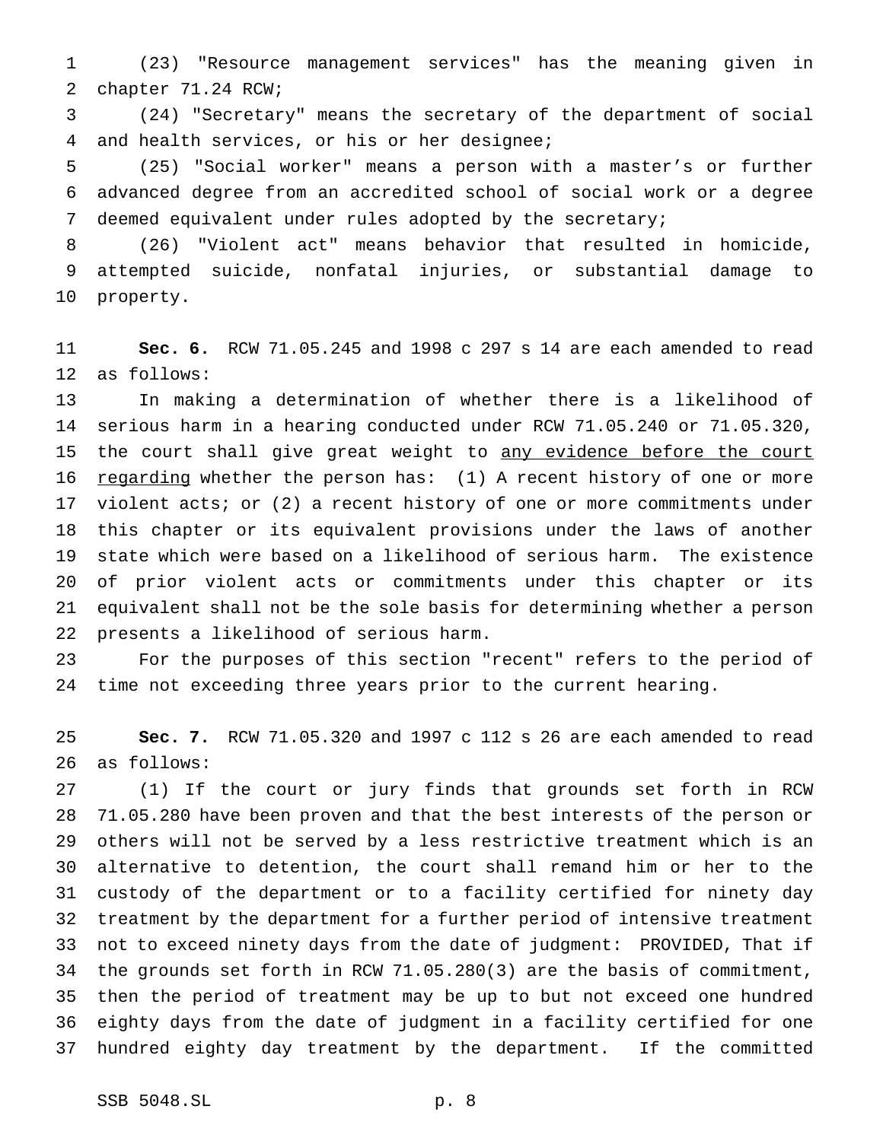(23) "Resource management services" has the meaning given in chapter 71.24 RCW;

 (24) "Secretary" means the secretary of the department of social and health services, or his or her designee;

 (25) "Social worker" means a person with a master's or further advanced degree from an accredited school of social work or a degree deemed equivalent under rules adopted by the secretary;

 (26) "Violent act" means behavior that resulted in homicide, attempted suicide, nonfatal injuries, or substantial damage to property.

 **Sec. 6.** RCW 71.05.245 and 1998 c 297 s 14 are each amended to read as follows:

 In making a determination of whether there is a likelihood of serious harm in a hearing conducted under RCW 71.05.240 or 71.05.320, 15 the court shall give great weight to any evidence before the court 16 regarding whether the person has: (1) A recent history of one or more violent acts; or (2) a recent history of one or more commitments under this chapter or its equivalent provisions under the laws of another state which were based on a likelihood of serious harm. The existence of prior violent acts or commitments under this chapter or its equivalent shall not be the sole basis for determining whether a person presents a likelihood of serious harm.

 For the purposes of this section "recent" refers to the period of time not exceeding three years prior to the current hearing.

 **Sec. 7.** RCW 71.05.320 and 1997 c 112 s 26 are each amended to read as follows:

 (1) If the court or jury finds that grounds set forth in RCW 71.05.280 have been proven and that the best interests of the person or others will not be served by a less restrictive treatment which is an alternative to detention, the court shall remand him or her to the custody of the department or to a facility certified for ninety day treatment by the department for a further period of intensive treatment not to exceed ninety days from the date of judgment: PROVIDED, That if the grounds set forth in RCW 71.05.280(3) are the basis of commitment, then the period of treatment may be up to but not exceed one hundred eighty days from the date of judgment in a facility certified for one hundred eighty day treatment by the department. If the committed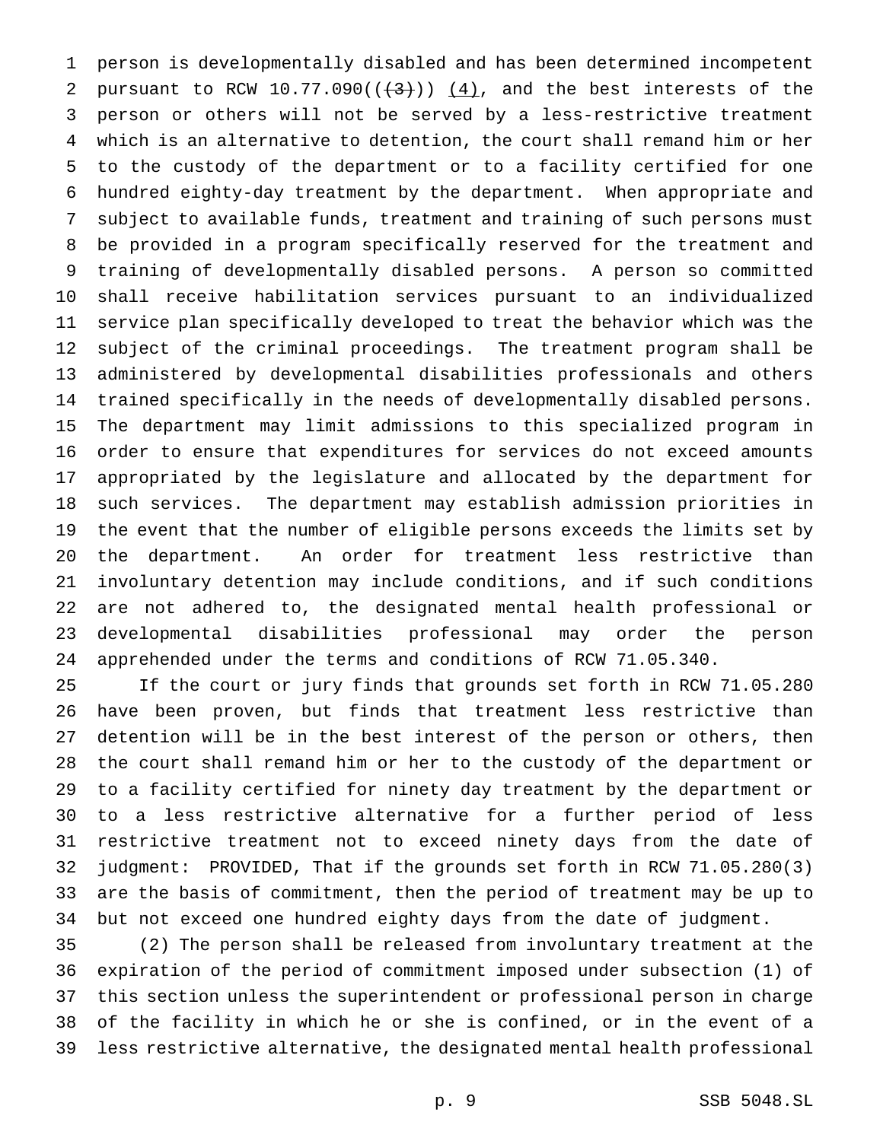person is developmentally disabled and has been determined incompetent 2 pursuant to RCW 10.77.090( $(\frac{4}{3})$ )  $(4)$ , and the best interests of the person or others will not be served by a less-restrictive treatment which is an alternative to detention, the court shall remand him or her to the custody of the department or to a facility certified for one hundred eighty-day treatment by the department. When appropriate and subject to available funds, treatment and training of such persons must be provided in a program specifically reserved for the treatment and training of developmentally disabled persons. A person so committed shall receive habilitation services pursuant to an individualized service plan specifically developed to treat the behavior which was the subject of the criminal proceedings. The treatment program shall be administered by developmental disabilities professionals and others trained specifically in the needs of developmentally disabled persons. The department may limit admissions to this specialized program in order to ensure that expenditures for services do not exceed amounts appropriated by the legislature and allocated by the department for such services. The department may establish admission priorities in the event that the number of eligible persons exceeds the limits set by the department. An order for treatment less restrictive than involuntary detention may include conditions, and if such conditions are not adhered to, the designated mental health professional or developmental disabilities professional may order the person apprehended under the terms and conditions of RCW 71.05.340.

 If the court or jury finds that grounds set forth in RCW 71.05.280 have been proven, but finds that treatment less restrictive than detention will be in the best interest of the person or others, then the court shall remand him or her to the custody of the department or to a facility certified for ninety day treatment by the department or to a less restrictive alternative for a further period of less restrictive treatment not to exceed ninety days from the date of judgment: PROVIDED, That if the grounds set forth in RCW 71.05.280(3) are the basis of commitment, then the period of treatment may be up to but not exceed one hundred eighty days from the date of judgment.

 (2) The person shall be released from involuntary treatment at the expiration of the period of commitment imposed under subsection (1) of this section unless the superintendent or professional person in charge of the facility in which he or she is confined, or in the event of a less restrictive alternative, the designated mental health professional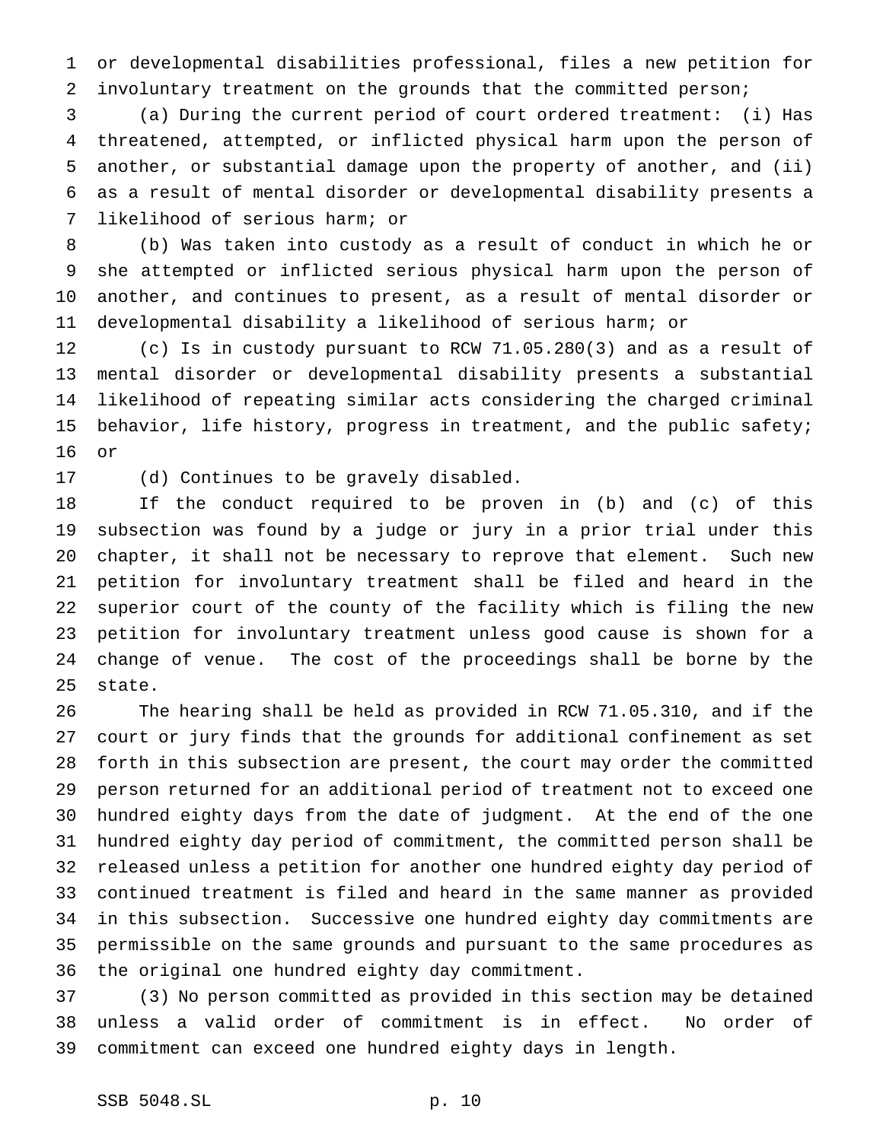or developmental disabilities professional, files a new petition for involuntary treatment on the grounds that the committed person;

 (a) During the current period of court ordered treatment: (i) Has threatened, attempted, or inflicted physical harm upon the person of another, or substantial damage upon the property of another, and (ii) as a result of mental disorder or developmental disability presents a likelihood of serious harm; or

 (b) Was taken into custody as a result of conduct in which he or she attempted or inflicted serious physical harm upon the person of another, and continues to present, as a result of mental disorder or developmental disability a likelihood of serious harm; or

 (c) Is in custody pursuant to RCW 71.05.280(3) and as a result of mental disorder or developmental disability presents a substantial likelihood of repeating similar acts considering the charged criminal behavior, life history, progress in treatment, and the public safety; or

(d) Continues to be gravely disabled.

 If the conduct required to be proven in (b) and (c) of this subsection was found by a judge or jury in a prior trial under this chapter, it shall not be necessary to reprove that element. Such new petition for involuntary treatment shall be filed and heard in the superior court of the county of the facility which is filing the new petition for involuntary treatment unless good cause is shown for a change of venue. The cost of the proceedings shall be borne by the state.

 The hearing shall be held as provided in RCW 71.05.310, and if the court or jury finds that the grounds for additional confinement as set forth in this subsection are present, the court may order the committed person returned for an additional period of treatment not to exceed one hundred eighty days from the date of judgment. At the end of the one hundred eighty day period of commitment, the committed person shall be released unless a petition for another one hundred eighty day period of continued treatment is filed and heard in the same manner as provided in this subsection. Successive one hundred eighty day commitments are permissible on the same grounds and pursuant to the same procedures as the original one hundred eighty day commitment.

 (3) No person committed as provided in this section may be detained unless a valid order of commitment is in effect. No order of commitment can exceed one hundred eighty days in length.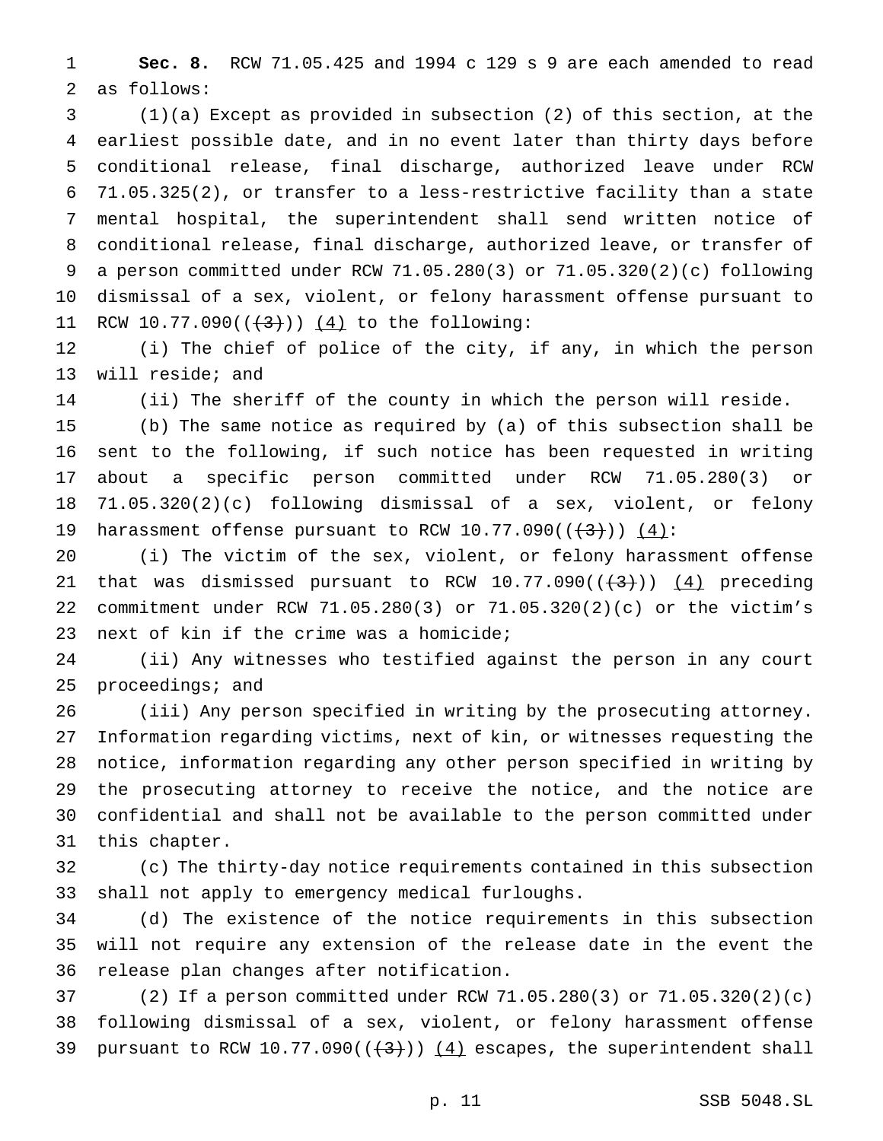**Sec. 8.** RCW 71.05.425 and 1994 c 129 s 9 are each amended to read as follows:

 (1)(a) Except as provided in subsection (2) of this section, at the earliest possible date, and in no event later than thirty days before conditional release, final discharge, authorized leave under RCW 71.05.325(2), or transfer to a less-restrictive facility than a state mental hospital, the superintendent shall send written notice of conditional release, final discharge, authorized leave, or transfer of a person committed under RCW 71.05.280(3) or 71.05.320(2)(c) following dismissal of a sex, violent, or felony harassment offense pursuant to 11 RCW 10.77.090( $(\frac{3}{1})$ )  $(4)$  to the following:

 (i) The chief of police of the city, if any, in which the person will reside; and

(ii) The sheriff of the county in which the person will reside.

 (b) The same notice as required by (a) of this subsection shall be sent to the following, if such notice has been requested in writing about a specific person committed under RCW 71.05.280(3) or 71.05.320(2)(c) following dismissal of a sex, violent, or felony 19 harassment offense pursuant to RCW  $10.77.090((+3))$   $(4)$ :

 (i) The victim of the sex, violent, or felony harassment offense 21 that was dismissed pursuant to RCW  $10.77.090((\frac{4}{3})) (4)$  preceding commitment under RCW 71.05.280(3) or 71.05.320(2)(c) or the victim's next of kin if the crime was a homicide;

 (ii) Any witnesses who testified against the person in any court proceedings; and

 (iii) Any person specified in writing by the prosecuting attorney. Information regarding victims, next of kin, or witnesses requesting the notice, information regarding any other person specified in writing by the prosecuting attorney to receive the notice, and the notice are confidential and shall not be available to the person committed under this chapter.

 (c) The thirty-day notice requirements contained in this subsection shall not apply to emergency medical furloughs.

 (d) The existence of the notice requirements in this subsection will not require any extension of the release date in the event the release plan changes after notification.

 (2) If a person committed under RCW 71.05.280(3) or 71.05.320(2)(c) following dismissal of a sex, violent, or felony harassment offense 39 pursuant to RCW 10.77.090( $(\frac{4}{3})$ )  $(4)$  escapes, the superintendent shall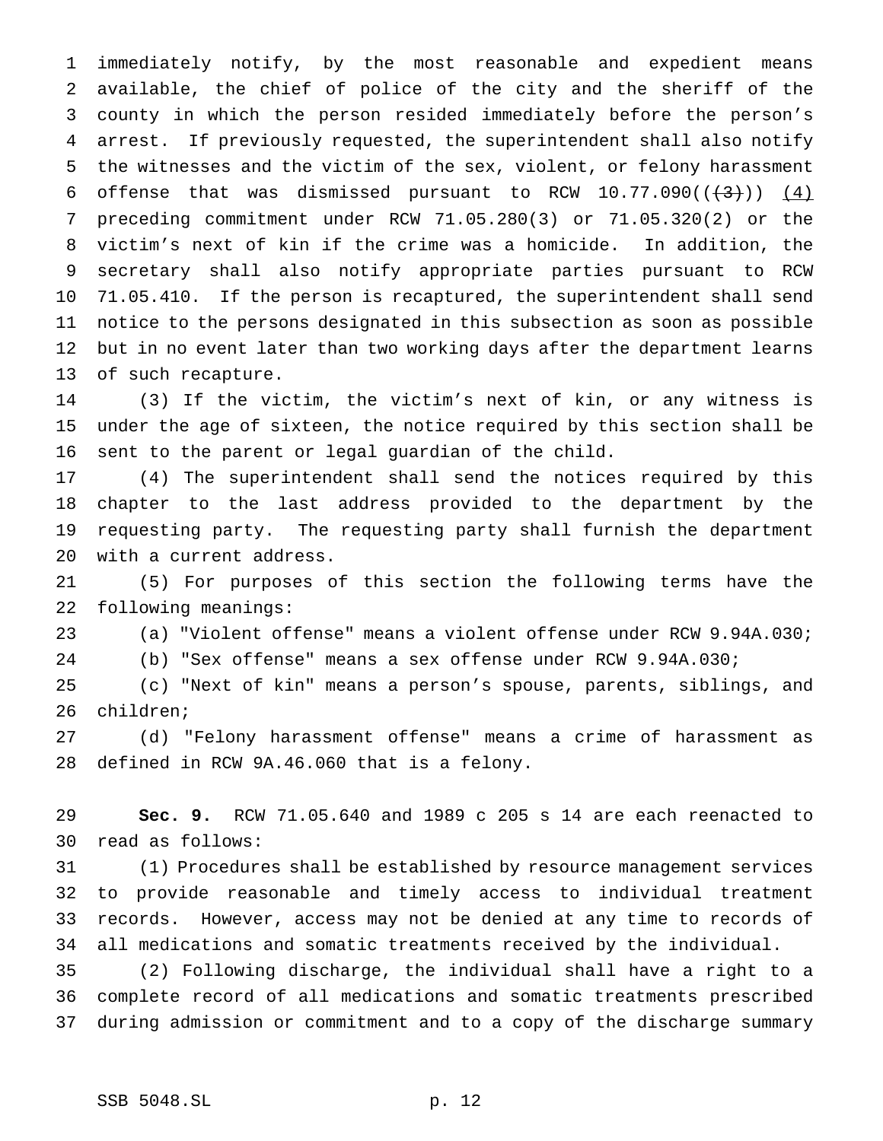immediately notify, by the most reasonable and expedient means available, the chief of police of the city and the sheriff of the county in which the person resided immediately before the person's arrest. If previously requested, the superintendent shall also notify the witnesses and the victim of the sex, violent, or felony harassment 6 offense that was dismissed pursuant to RCW  $10.77.090((\frac{43}{}))(\frac{4}{2})$  preceding commitment under RCW 71.05.280(3) or 71.05.320(2) or the victim's next of kin if the crime was a homicide. In addition, the secretary shall also notify appropriate parties pursuant to RCW 71.05.410. If the person is recaptured, the superintendent shall send notice to the persons designated in this subsection as soon as possible but in no event later than two working days after the department learns of such recapture.

 (3) If the victim, the victim's next of kin, or any witness is under the age of sixteen, the notice required by this section shall be sent to the parent or legal guardian of the child.

 (4) The superintendent shall send the notices required by this chapter to the last address provided to the department by the requesting party. The requesting party shall furnish the department with a current address.

 (5) For purposes of this section the following terms have the following meanings:

(a) "Violent offense" means a violent offense under RCW 9.94A.030;

(b) "Sex offense" means a sex offense under RCW 9.94A.030;

 (c) "Next of kin" means a person's spouse, parents, siblings, and children;

 (d) "Felony harassment offense" means a crime of harassment as defined in RCW 9A.46.060 that is a felony.

 **Sec. 9.** RCW 71.05.640 and 1989 c 205 s 14 are each reenacted to read as follows:

 (1) Procedures shall be established by resource management services to provide reasonable and timely access to individual treatment records. However, access may not be denied at any time to records of all medications and somatic treatments received by the individual.

 (2) Following discharge, the individual shall have a right to a complete record of all medications and somatic treatments prescribed during admission or commitment and to a copy of the discharge summary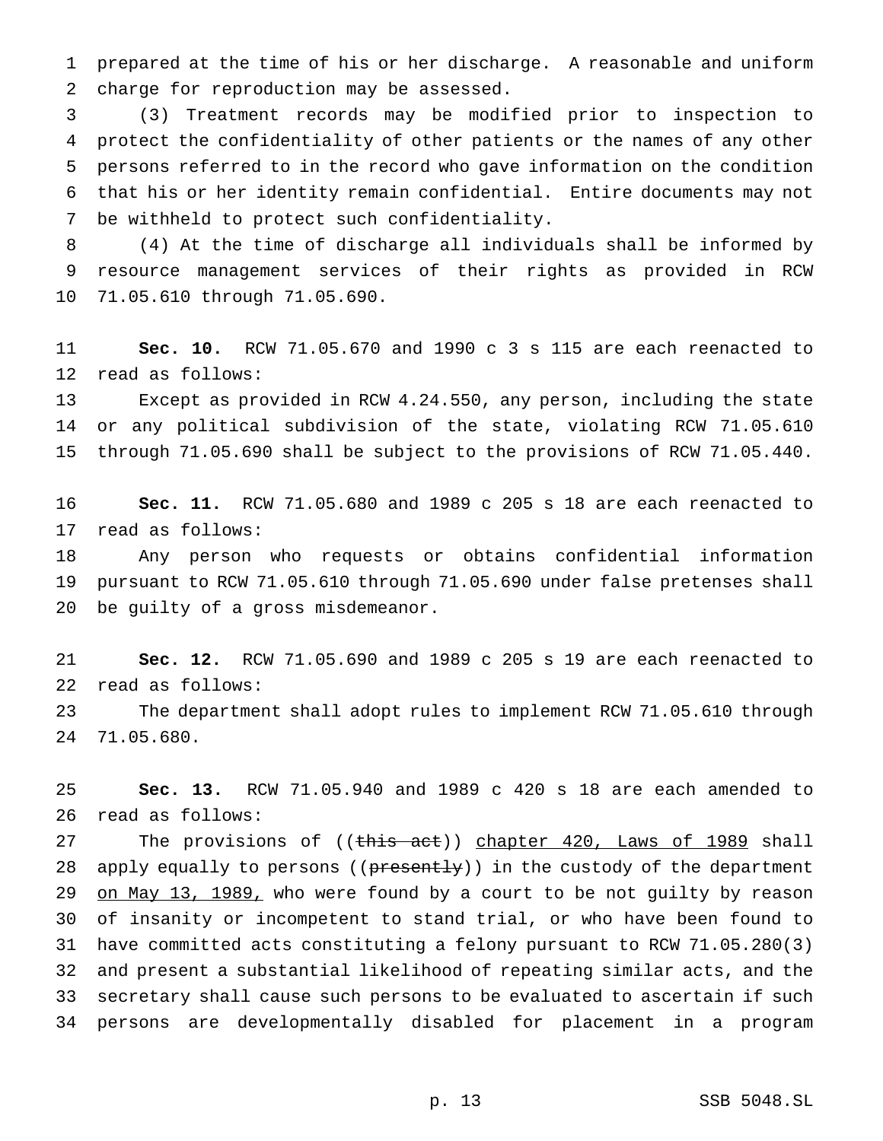prepared at the time of his or her discharge. A reasonable and uniform charge for reproduction may be assessed.

 (3) Treatment records may be modified prior to inspection to protect the confidentiality of other patients or the names of any other persons referred to in the record who gave information on the condition that his or her identity remain confidential. Entire documents may not be withheld to protect such confidentiality.

 (4) At the time of discharge all individuals shall be informed by resource management services of their rights as provided in RCW 71.05.610 through 71.05.690.

 **Sec. 10.** RCW 71.05.670 and 1990 c 3 s 115 are each reenacted to read as follows:

 Except as provided in RCW 4.24.550, any person, including the state or any political subdivision of the state, violating RCW 71.05.610 through 71.05.690 shall be subject to the provisions of RCW 71.05.440.

 **Sec. 11.** RCW 71.05.680 and 1989 c 205 s 18 are each reenacted to read as follows:

 Any person who requests or obtains confidential information pursuant to RCW 71.05.610 through 71.05.690 under false pretenses shall be guilty of a gross misdemeanor.

 **Sec. 12.** RCW 71.05.690 and 1989 c 205 s 19 are each reenacted to read as follows:

 The department shall adopt rules to implement RCW 71.05.610 through 71.05.680.

 **Sec. 13.** RCW 71.05.940 and 1989 c 420 s 18 are each amended to read as follows:

27 The provisions of ((this act)) chapter 420, Laws of 1989 shall 28 apply equally to persons ((presently)) in the custody of the department 29 on May 13, 1989, who were found by a court to be not guilty by reason of insanity or incompetent to stand trial, or who have been found to have committed acts constituting a felony pursuant to RCW 71.05.280(3) and present a substantial likelihood of repeating similar acts, and the secretary shall cause such persons to be evaluated to ascertain if such persons are developmentally disabled for placement in a program